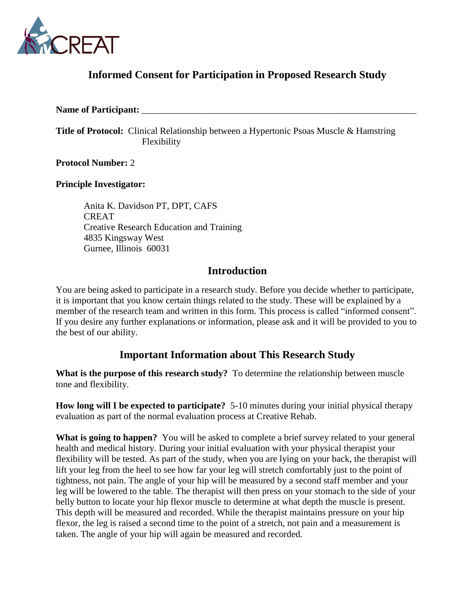

## **Informed Consent for Participation in Proposed Research Study**

#### Name of Participant:

**Title of Protocol:** Clinical Relationship between a Hypertonic Psoas Muscle & Hamstring Flexibility

**Protocol Number:** 2

### **Principle Investigator:**

Anita K. Davidson PT, DPT, CAFS CREAT Creative Research Education and Training 4835 Kingsway West Gurnee, Illinois 60031

### **Introduction**

You are being asked to participate in a research study. Before you decide whether to participate, it is important that you know certain things related to the study. These will be explained by a member of the research team and written in this form. This process is called "informed consent". If you desire any further explanations or information, please ask and it will be provided to you to the best of our ability.

## **Important Information about This Research Study**

**What is the purpose of this research study?** To determine the relationship between muscle tone and flexibility.

**How long will I be expected to participate?** 5-10 minutes during your initial physical therapy evaluation as part of the normal evaluation process at Creative Rehab.

**What is going to happen?** You will be asked to complete a brief survey related to your general health and medical history. During your initial evaluation with your physical therapist your flexibility will be tested. As part of the study, when you are lying on your back, the therapist will lift your leg from the heel to see how far your leg will stretch comfortably just to the point of tightness, not pain. The angle of your hip will be measured by a second staff member and your leg will be lowered to the table. The therapist will then press on your stomach to the side of your belly button to locate your hip flexor muscle to determine at what depth the muscle is present. This depth will be measured and recorded. While the therapist maintains pressure on your hip flexor, the leg is raised a second time to the point of a stretch, not pain and a measurement is taken. The angle of your hip will again be measured and recorded.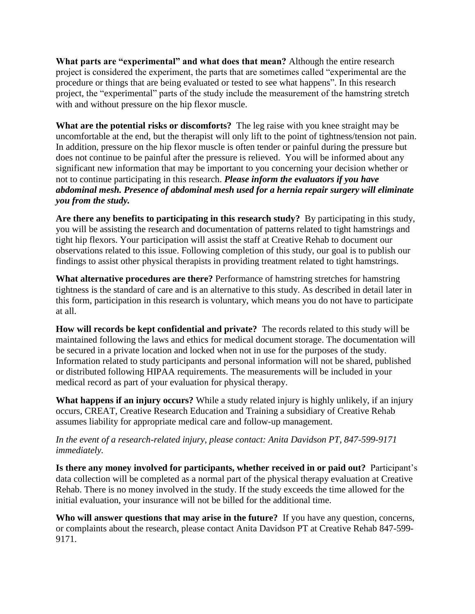**What parts are "experimental" and what does that mean?** Although the entire research project is considered the experiment, the parts that are sometimes called "experimental are the procedure or things that are being evaluated or tested to see what happens". In this research project, the "experimental" parts of the study include the measurement of the hamstring stretch with and without pressure on the hip flexor muscle.

**What are the potential risks or discomforts?** The leg raise with you knee straight may be uncomfortable at the end, but the therapist will only lift to the point of tightness/tension not pain. In addition, pressure on the hip flexor muscle is often tender or painful during the pressure but does not continue to be painful after the pressure is relieved. You will be informed about any significant new information that may be important to you concerning your decision whether or not to continue participating in this research. *Please inform the evaluators if you have abdominal mesh. Presence of abdominal mesh used for a hernia repair surgery will eliminate you from the study.*

**Are there any benefits to participating in this research study?** By participating in this study, you will be assisting the research and documentation of patterns related to tight hamstrings and tight hip flexors. Your participation will assist the staff at Creative Rehab to document our observations related to this issue. Following completion of this study, our goal is to publish our findings to assist other physical therapists in providing treatment related to tight hamstrings.

**What alternative procedures are there?** Performance of hamstring stretches for hamstring tightness is the standard of care and is an alternative to this study. As described in detail later in this form, participation in this research is voluntary, which means you do not have to participate at all.

**How will records be kept confidential and private?** The records related to this study will be maintained following the laws and ethics for medical document storage. The documentation will be secured in a private location and locked when not in use for the purposes of the study. Information related to study participants and personal information will not be shared, published or distributed following HIPAA requirements. The measurements will be included in your medical record as part of your evaluation for physical therapy.

**What happens if an injury occurs?** While a study related injury is highly unlikely, if an injury occurs, CREAT, Creative Research Education and Training a subsidiary of Creative Rehab assumes liability for appropriate medical care and follow-up management.

### *In the event of a research-related injury, please contact: Anita Davidson PT, 847-599-9171 immediately.*

**Is there any money involved for participants, whether received in or paid out?** Participant's data collection will be completed as a normal part of the physical therapy evaluation at Creative Rehab. There is no money involved in the study. If the study exceeds the time allowed for the initial evaluation, your insurance will not be billed for the additional time.

**Who will answer questions that may arise in the future?** If you have any question, concerns, or complaints about the research, please contact Anita Davidson PT at Creative Rehab 847-599- 9171.